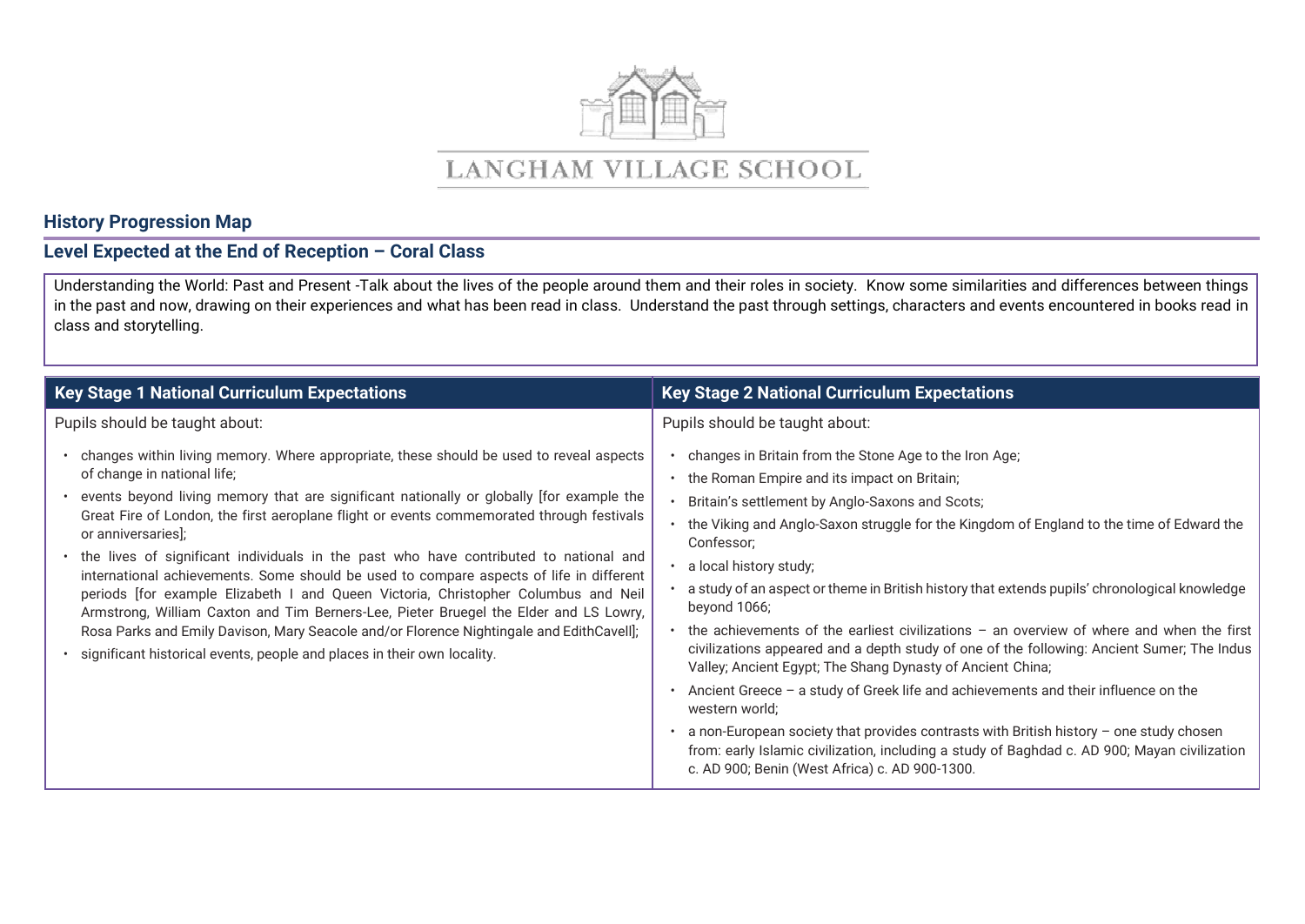

## LANGHAM VILLAGE SCHOOL

## **History Progression Map**

## **Level Expected at the End of Reception – Coral Class**

Understanding the World: Past and Present -Talk about the lives of the people around them and their roles in society. Know some similarities and differences between things in the past and now, drawing on their experiences and what has been read in class. Understand the past through settings, characters and events encountered in books read in class and storytelling.

| <b>Key Stage 1 National Curriculum Expectations</b>                                                                                                                                                                                                                                                                                                                                                                                                                                                                                                                                                                                                                                                                                                                                                                                                                                     | <b>Key Stage 2 National Curriculum Expectations</b>                                                                                                                                                                                                                                                                                                                                                                                                                                                                                                                                                                                                                                                                                                                                                                                                                                                                                                                                                                           |  |  |
|-----------------------------------------------------------------------------------------------------------------------------------------------------------------------------------------------------------------------------------------------------------------------------------------------------------------------------------------------------------------------------------------------------------------------------------------------------------------------------------------------------------------------------------------------------------------------------------------------------------------------------------------------------------------------------------------------------------------------------------------------------------------------------------------------------------------------------------------------------------------------------------------|-------------------------------------------------------------------------------------------------------------------------------------------------------------------------------------------------------------------------------------------------------------------------------------------------------------------------------------------------------------------------------------------------------------------------------------------------------------------------------------------------------------------------------------------------------------------------------------------------------------------------------------------------------------------------------------------------------------------------------------------------------------------------------------------------------------------------------------------------------------------------------------------------------------------------------------------------------------------------------------------------------------------------------|--|--|
| Pupils should be taught about:                                                                                                                                                                                                                                                                                                                                                                                                                                                                                                                                                                                                                                                                                                                                                                                                                                                          | Pupils should be taught about:                                                                                                                                                                                                                                                                                                                                                                                                                                                                                                                                                                                                                                                                                                                                                                                                                                                                                                                                                                                                |  |  |
| • changes within living memory. Where appropriate, these should be used to reveal aspects<br>of change in national life;<br>• events beyond living memory that are significant nationally or globally [for example the<br>Great Fire of London, the first aeroplane flight or events commemorated through festivals<br>or anniversaries];<br>• the lives of significant individuals in the past who have contributed to national and<br>international achievements. Some should be used to compare aspects of life in different<br>periods [for example Elizabeth I and Queen Victoria, Christopher Columbus and Neil<br>Armstrong, William Caxton and Tim Berners-Lee, Pieter Bruegel the Elder and LS Lowry,<br>Rosa Parks and Emily Davison, Mary Seacole and/or Florence Nightingale and EdithCavell];<br>· significant historical events, people and places in their own locality. | changes in Britain from the Stone Age to the Iron Age;<br>the Roman Empire and its impact on Britain;<br>Britain's settlement by Anglo-Saxons and Scots;<br>the Viking and Anglo-Saxon struggle for the Kingdom of England to the time of Edward the<br>Confessor;<br>a local history study;<br>a study of an aspect or theme in British history that extends pupils' chronological knowledge<br>beyond 1066;<br>the achievements of the earliest civilizations $-$ an overview of where and when the first<br>civilizations appeared and a depth study of one of the following: Ancient Sumer; The Indus<br>Valley; Ancient Egypt; The Shang Dynasty of Ancient China;<br>Ancient Greece - a study of Greek life and achievements and their influence on the<br>western world;<br>a non-European society that provides contrasts with British history $-$ one study chosen<br>from: early Islamic civilization, including a study of Baghdad c. AD 900; Mayan civilization<br>c. AD 900; Benin (West Africa) c. AD 900-1300. |  |  |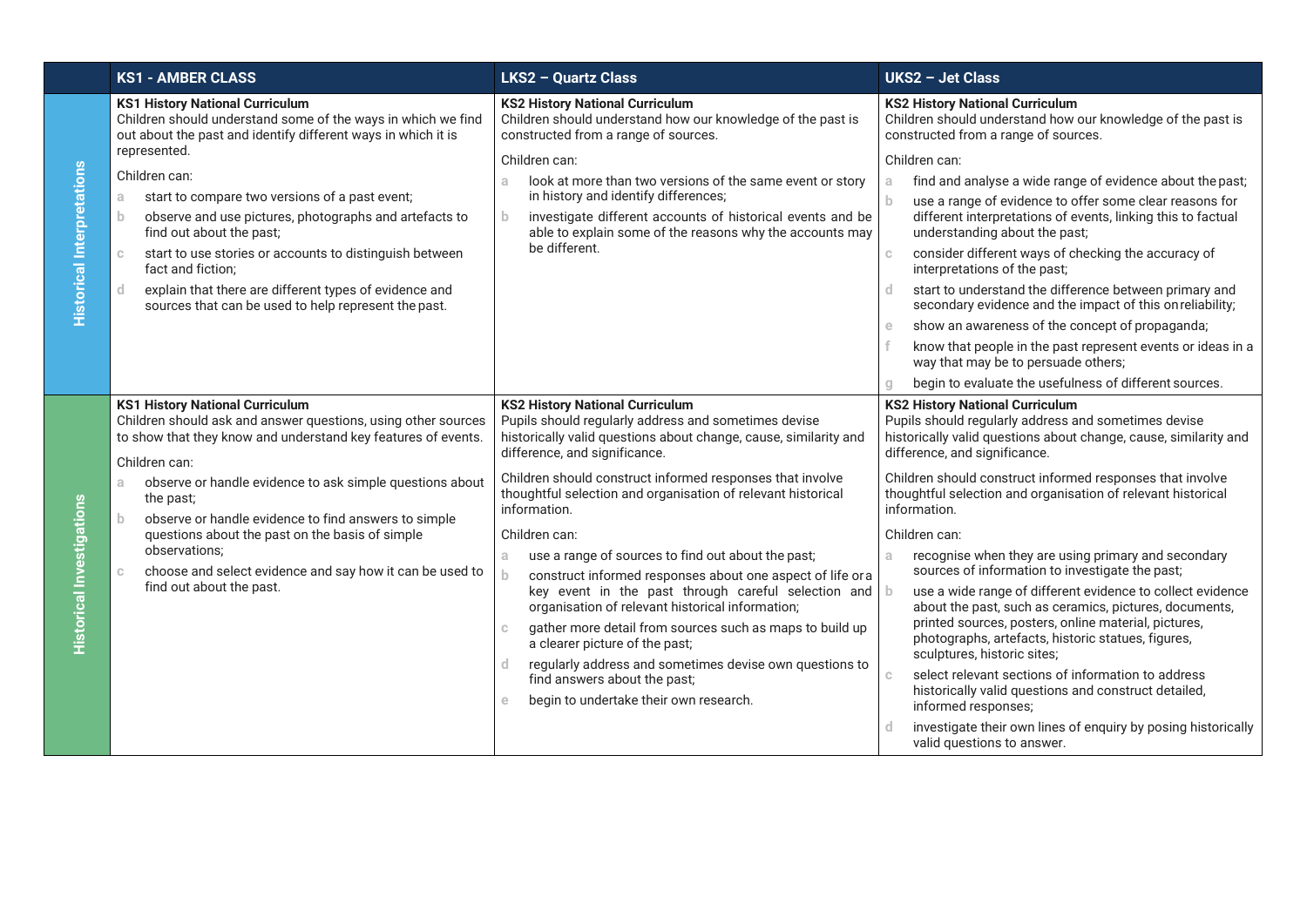|                                   | <b>KS1 - AMBER CLASS</b>                                                                                                                                                                                                                                                                                                                                  | <b>LKS2 - Quartz Class</b>                                                                                                                                                                                                                                        | <b>UKS2 - Jet Class</b>                                                                                                                                                                             |  |
|-----------------------------------|-----------------------------------------------------------------------------------------------------------------------------------------------------------------------------------------------------------------------------------------------------------------------------------------------------------------------------------------------------------|-------------------------------------------------------------------------------------------------------------------------------------------------------------------------------------------------------------------------------------------------------------------|-----------------------------------------------------------------------------------------------------------------------------------------------------------------------------------------------------|--|
| <b>Historical Interpretations</b> | <b>KS1 History National Curriculum</b><br>Children should understand some of the ways in which we find<br>out about the past and identify different ways in which it is                                                                                                                                                                                   | <b>KS2 History National Curriculum</b><br>Children should understand how our knowledge of the past is<br>constructed from a range of sources.                                                                                                                     | <b>KS2 History National Curriculum</b><br>Children should understand how our knowledge of the past is<br>constructed from a range of sources.                                                       |  |
|                                   | represented.<br>Children can:                                                                                                                                                                                                                                                                                                                             | Children can:<br>look at more than two versions of the same event or story<br>a.<br>in history and identify differences;<br>investigate different accounts of historical events and be<br>$\mathbf b$<br>able to explain some of the reasons why the accounts may | Children can:<br>find and analyse a wide range of evidence about the past;<br>a                                                                                                                     |  |
|                                   | start to compare two versions of a past event;<br>a.<br>observe and use pictures, photographs and artefacts to<br>$\mathbf{b}$<br>find out about the past;                                                                                                                                                                                                |                                                                                                                                                                                                                                                                   | use a range of evidence to offer some clear reasons for<br>b.<br>different interpretations of events, linking this to factual<br>understanding about the past;                                      |  |
|                                   | start to use stories or accounts to distinguish between<br>$\mathbb C$<br>fact and fiction;                                                                                                                                                                                                                                                               | be different.                                                                                                                                                                                                                                                     | consider different ways of checking the accuracy of<br>interpretations of the past;                                                                                                                 |  |
|                                   | explain that there are different types of evidence and<br>-d<br>sources that can be used to help represent the past.                                                                                                                                                                                                                                      |                                                                                                                                                                                                                                                                   | start to understand the difference between primary and<br>d<br>secondary evidence and the impact of this on reliability;                                                                            |  |
|                                   |                                                                                                                                                                                                                                                                                                                                                           |                                                                                                                                                                                                                                                                   | show an awareness of the concept of propaganda;<br>$\epsilon$                                                                                                                                       |  |
|                                   |                                                                                                                                                                                                                                                                                                                                                           |                                                                                                                                                                                                                                                                   | know that people in the past represent events or ideas in a<br>way that may be to persuade others;                                                                                                  |  |
|                                   |                                                                                                                                                                                                                                                                                                                                                           |                                                                                                                                                                                                                                                                   | begin to evaluate the usefulness of different sources.                                                                                                                                              |  |
|                                   | <b>KS1 History National Curriculum</b><br>Children should ask and answer questions, using other sources<br>to show that they know and understand key features of events.<br>Children can:                                                                                                                                                                 | <b>KS2 History National Curriculum</b><br>Pupils should regularly address and sometimes devise<br>historically valid questions about change, cause, similarity and<br>difference, and significance.                                                               | <b>KS2 History National Curriculum</b><br>Pupils should regularly address and sometimes devise<br>historically valid questions about change, cause, similarity and<br>difference, and significance. |  |
|                                   | observe or handle evidence to ask simple questions about<br>a.<br>the past;<br>observe or handle evidence to find answers to simple<br>b.<br>questions about the past on the basis of simple<br>observations:<br>a<br>choose and select evidence and say how it can be used to<br>$\mathbb C$<br>b.<br>find out about the past.<br>$\mathbb C$<br>d.<br>e | Children should construct informed responses that involve<br>thoughtful selection and organisation of relevant historical<br>information.                                                                                                                         | Children should construct informed responses that involve<br>thoughtful selection and organisation of relevant historical<br>information.                                                           |  |
|                                   |                                                                                                                                                                                                                                                                                                                                                           | Children can:                                                                                                                                                                                                                                                     | Children can:                                                                                                                                                                                       |  |
|                                   |                                                                                                                                                                                                                                                                                                                                                           | use a range of sources to find out about the past;                                                                                                                                                                                                                | recognise when they are using primary and secondary<br>sources of information to investigate the past;                                                                                              |  |
| Historical Investigations         |                                                                                                                                                                                                                                                                                                                                                           | construct informed responses about one aspect of life ora                                                                                                                                                                                                         |                                                                                                                                                                                                     |  |
|                                   |                                                                                                                                                                                                                                                                                                                                                           | key event in the past through careful selection and<br>organisation of relevant historical information;                                                                                                                                                           | use a wide range of different evidence to collect evidence<br>-b<br>about the past, such as ceramics, pictures, documents,                                                                          |  |
|                                   |                                                                                                                                                                                                                                                                                                                                                           | gather more detail from sources such as maps to build up<br>a clearer picture of the past;<br>regularly address and sometimes devise own questions to<br>find answers about the past;                                                                             | printed sources, posters, online material, pictures,<br>photographs, artefacts, historic statues, figures,<br>sculptures, historic sites;                                                           |  |
|                                   |                                                                                                                                                                                                                                                                                                                                                           |                                                                                                                                                                                                                                                                   | select relevant sections of information to address<br>$\mathbb{C}$                                                                                                                                  |  |
|                                   |                                                                                                                                                                                                                                                                                                                                                           | begin to undertake their own research.                                                                                                                                                                                                                            | historically valid questions and construct detailed,<br>informed responses;                                                                                                                         |  |
|                                   |                                                                                                                                                                                                                                                                                                                                                           |                                                                                                                                                                                                                                                                   | investigate their own lines of enquiry by posing historically<br>valid questions to answer.                                                                                                         |  |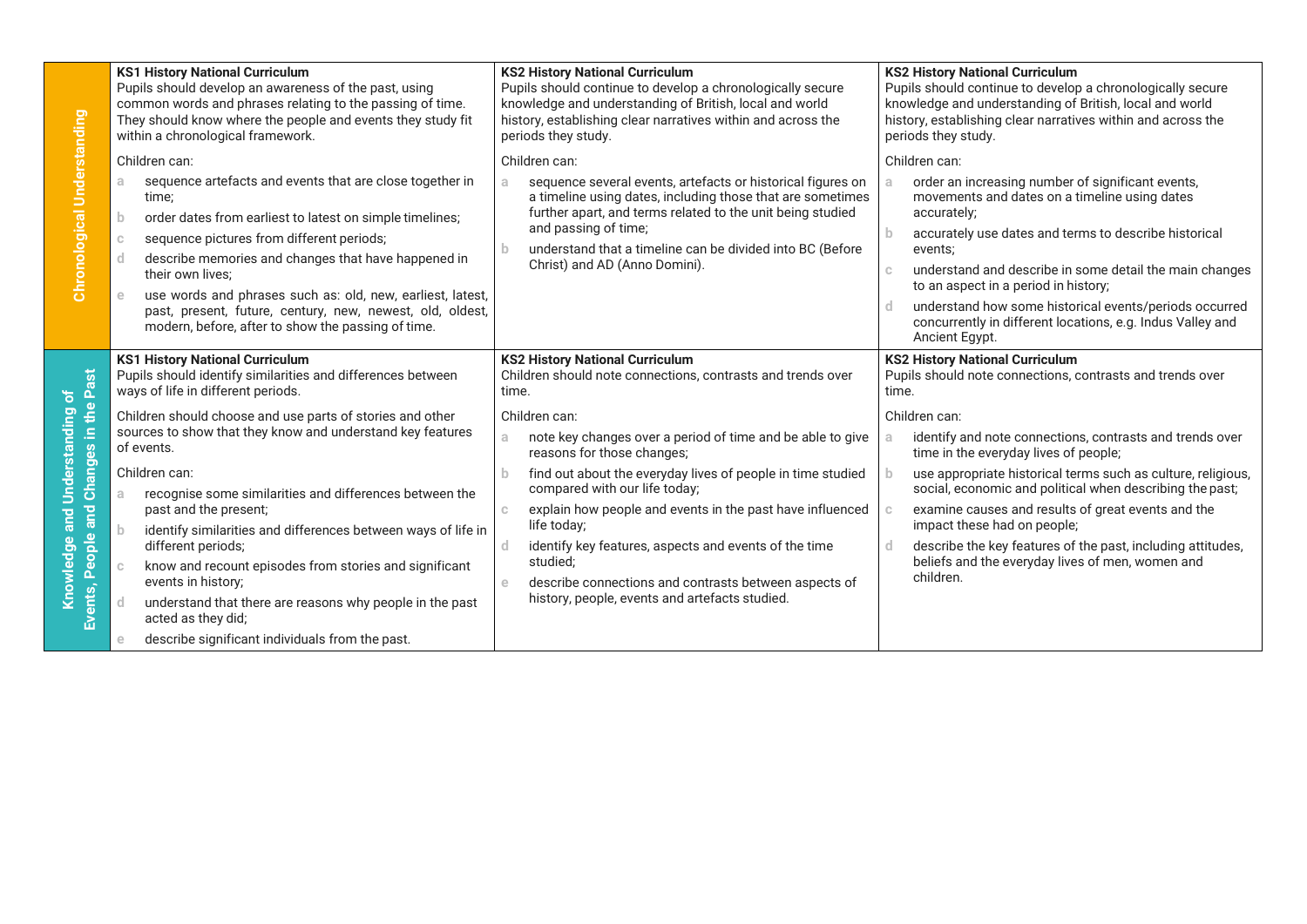|                                                                                                                               | <b>KS1 History National Curriculum</b><br>Pupils should develop an awareness of the past, using<br>common words and phrases relating to the passing of time.<br>They should know where the people and events they study fit<br>within a chronological framework.                                                                                                                                                                                                                         | <b>KS2 History National Curriculum</b><br>Pupils should continue to develop a chronologically secure<br>knowledge and understanding of British, local and world<br>history, establishing clear narratives within and across the<br>periods they study.                                                                                     | <b>KS2 History National Curriculum</b><br>Pupils should continue to develop a chronologically secure<br>knowledge and understanding of British, local and world<br>history, establishing clear narratives within and across the<br>periods they study.                                                                                                                                                                                                              |  |  |
|-------------------------------------------------------------------------------------------------------------------------------|------------------------------------------------------------------------------------------------------------------------------------------------------------------------------------------------------------------------------------------------------------------------------------------------------------------------------------------------------------------------------------------------------------------------------------------------------------------------------------------|--------------------------------------------------------------------------------------------------------------------------------------------------------------------------------------------------------------------------------------------------------------------------------------------------------------------------------------------|---------------------------------------------------------------------------------------------------------------------------------------------------------------------------------------------------------------------------------------------------------------------------------------------------------------------------------------------------------------------------------------------------------------------------------------------------------------------|--|--|
| <b>Chronological Understanding</b>                                                                                            | Children can:<br>sequence artefacts and events that are close together in<br>a.<br>time:<br>order dates from earliest to latest on simple timelines;<br>b.<br>sequence pictures from different periods;<br>$\mathbb{C}$<br>describe memories and changes that have happened in<br>d<br>their own lives:<br>use words and phrases such as: old, new, earliest, latest,<br>past, present, future, century, new, newest, old, oldest,<br>modern, before, after to show the passing of time. | Children can:<br>sequence several events, artefacts or historical figures on<br>a.<br>a timeline using dates, including those that are sometimes<br>further apart, and terms related to the unit being studied<br>and passing of time;<br>understand that a timeline can be divided into BC (Before<br>b.<br>Christ) and AD (Anno Domini). | Children can:<br>order an increasing number of significant events,<br>movements and dates on a timeline using dates<br>accurately;<br>accurately use dates and terms to describe historical<br>events;<br>understand and describe in some detail the main changes<br>$\mathbb{C}$<br>to an aspect in a period in history;<br>understand how some historical events/periods occurred<br>concurrently in different locations, e.g. Indus Valley and<br>Ancient Egypt. |  |  |
| Past<br>nderstanding of<br>People and Changes in the<br>Ξ<br>$\mathbf{E}$<br>$\omega$<br>$\overline{a}$<br>ਫ਼<br>Events,<br>g | <b>KS1 History National Curriculum</b><br>Pupils should identify similarities and differences between<br>ways of life in different periods.                                                                                                                                                                                                                                                                                                                                              | <b>KS2 History National Curriculum</b><br>Children should note connections, contrasts and trends over<br>time.                                                                                                                                                                                                                             | <b>KS2 History National Curriculum</b><br>Pupils should note connections, contrasts and trends over<br>time.                                                                                                                                                                                                                                                                                                                                                        |  |  |
|                                                                                                                               | Children should choose and use parts of stories and other<br>sources to show that they know and understand key features<br>of events.                                                                                                                                                                                                                                                                                                                                                    | Children can:<br>note key changes over a period of time and be able to give<br>a.<br>reasons for those changes;                                                                                                                                                                                                                            | Children can:<br>identify and note connections, contrasts and trends over<br>time in the everyday lives of people;                                                                                                                                                                                                                                                                                                                                                  |  |  |
|                                                                                                                               | Children can:<br>recognise some similarities and differences between the<br>a<br>past and the present;                                                                                                                                                                                                                                                                                                                                                                                   | find out about the everyday lives of people in time studied<br>compared with our life today;<br>explain how people and events in the past have influenced<br>C<br>life today;<br>identify key features, aspects and events of the time<br>d<br>studied;<br>describe connections and contrasts between aspects of<br>$\epsilon$             | use appropriate historical terms such as culture, religious,<br>social, economic and political when describing the past;<br>examine causes and results of great events and the                                                                                                                                                                                                                                                                                      |  |  |
|                                                                                                                               | identify similarities and differences between ways of life in<br>$\mathbf b$<br>different periods;<br>know and recount episodes from stories and significant<br>$\mathbb{C}$<br>events in history;                                                                                                                                                                                                                                                                                       |                                                                                                                                                                                                                                                                                                                                            | impact these had on people;<br>describe the key features of the past, including attitudes,<br>beliefs and the everyday lives of men, women and<br>children.                                                                                                                                                                                                                                                                                                         |  |  |
|                                                                                                                               | understand that there are reasons why people in the past<br>-d<br>acted as they did;<br>describe significant individuals from the past.<br>$\epsilon$                                                                                                                                                                                                                                                                                                                                    | history, people, events and artefacts studied.                                                                                                                                                                                                                                                                                             |                                                                                                                                                                                                                                                                                                                                                                                                                                                                     |  |  |